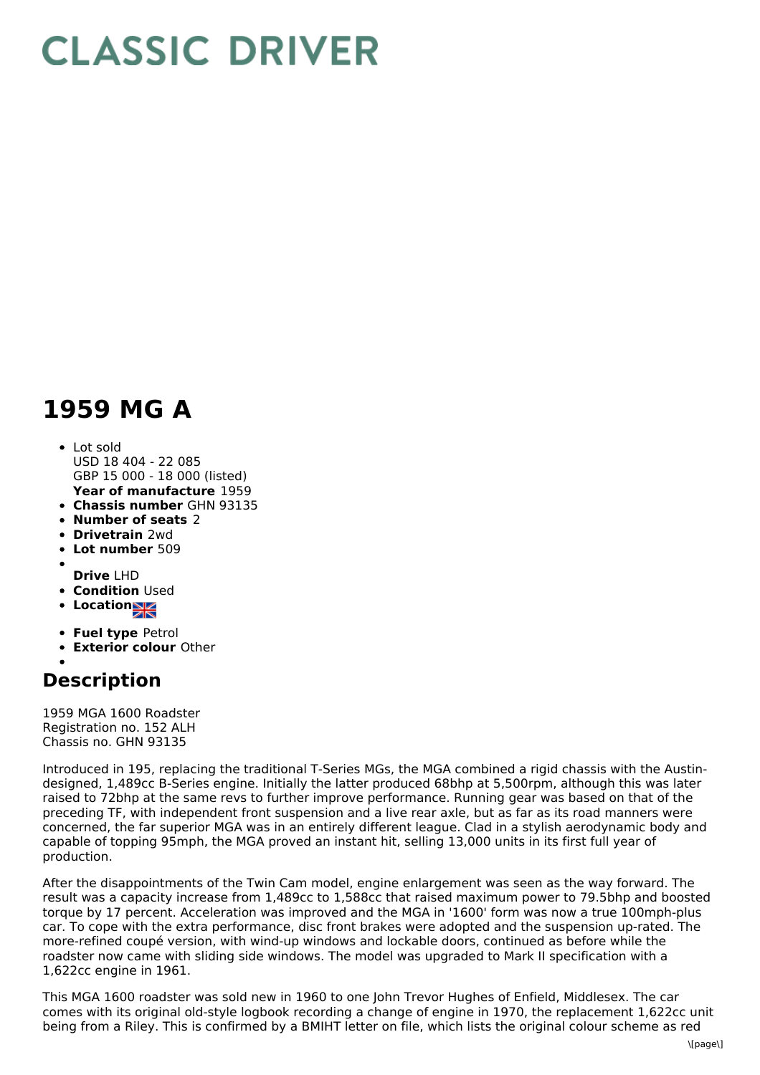## **CLASSIC DRIVER**

## **1959 MG A**

- **Year of manufacture** 1959 • Lot sold USD 18 404 - 22 085 GBP 15 000 - 18 000 (listed)
- **Chassis number** GHN 93135
- **Number of seats** 2
- **Drivetrain** 2wd
- **Lot number** 509
- 
- **Drive** LHD
- **Condition Used**
- **Location**
- **Fuel type** Petrol
- **Exterior colour** Other
- 

## **Description**

1959 MGA 1600 Roadster Registration no. 152 ALH Chassis no. GHN 93135

Introduced in 195, replacing the traditional T-Series MGs, the MGA combined a rigid chassis with the Austindesigned, 1,489cc B-Series engine. Initially the latter produced 68bhp at 5,500rpm, although this was later raised to 72bhp at the same revs to further improve performance. Running gear was based on that of the preceding TF, with independent front suspension and a live rear axle, but as far as its road manners were concerned, the far superior MGA was in an entirely different league. Clad in a stylish aerodynamic body and capable of topping 95mph, the MGA proved an instant hit, selling 13,000 units in its first full year of production.

After the disappointments of the Twin Cam model, engine enlargement was seen as the way forward. The result was a capacity increase from 1,489cc to 1,588cc that raised maximum power to 79.5bhp and boosted torque by 17 percent. Acceleration was improved and the MGA in '1600' form was now a true 100mph-plus car. To cope with the extra performance, disc front brakes were adopted and the suspension up-rated. The more-refined coupé version, with wind-up windows and lockable doors, continued as before while the roadster now came with sliding side windows. The model was upgraded to Mark II specification with a 1,622cc engine in 1961.

This MGA 1600 roadster was sold new in 1960 to one John Trevor Hughes of Enfield, Middlesex. The car comes with its original old-style logbook recording a change of engine in 1970, the replacement 1,622cc unit being from a Riley. This is confirmed by a BMIHT letter on file, which lists the original colour scheme as red